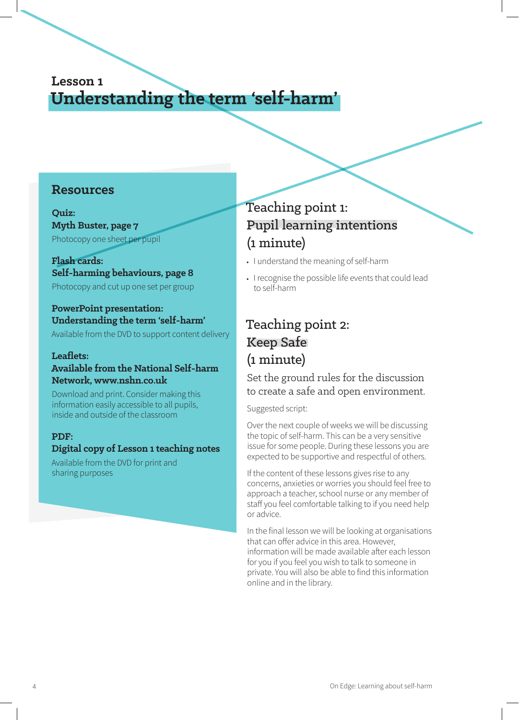## **Lesson 1 Understanding the term 'self-harm'**

#### **Resources**

**Quiz: Myth Buster, page 7** Photocopy one sheet per pupil

**Flash cards: Self-harming behaviours, page 8** Photocopy and cut up one set per group

#### **PowerPoint presentation: Understanding the term 'self-harm'**

Available from the DVD to support content delivery

#### **Leaflets:**

### **Available from the National Self-harm Network, www.nshn.co.uk**

Download and print. Consider making this information easily accessible to all pupils, inside and outside of the classroom

#### **PDF:**

#### **Digital copy of Lesson 1 teaching notes**

Available from the DVD for print and sharing purposes

## Teaching point 1: Pupil learning intentions (1 minute)

- **•** I understand the meaning of self-harm
- **•** I recognise the possible life events that could lead to self-harm

## Teaching point 2: Keep Safe (1 minute)

Set the ground rules for the discussion to create a safe and open environment.

Suggested script:

Over the next couple of weeks we will be discussing the topic of self-harm. This can be a very sensitive issue for some people. During these lessons you are expected to be supportive and respectful of others.

If the content of these lessons gives rise to any concerns, anxieties or worries you should feel free to approach a teacher, school nurse or any member of staff you feel comfortable talking to if you need help or advice.

In the final lesson we will be looking at organisations that can offer advice in this area. However, information will be made available after each lesson for you if you feel you wish to talk to someone in private. You will also be able to find this information online and in the library.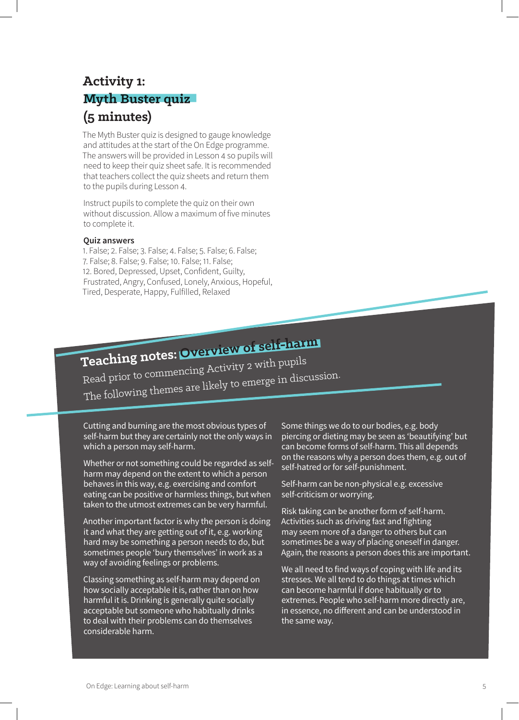## **Activity 1: Myth Buster quiz (5 minutes)**

The Myth Buster quiz is designed to gauge knowledge and attitudes at the start of the On Edge programme. The answers will be provided in Lesson 4 so pupils will need to keep their quiz sheet safe. It is recommended that teachers collect the quiz sheets and return them to the pupils during Lesson 4.

Instruct pupils to complete the quiz on their own without discussion. Allow a maximum of five minutes to complete it.

#### **Quiz answers**

1. False; 2. False; 3. False; 4. False; 5. False; 6. False; 7. False; 8. False; 9. False; 10. False; 11. False; 12. Bored, Depressed, Upset, Confident, Guilty, Frustrated, Angry, Confused, Lonely, Anxious, Hopeful, Tired, Desperate, Happy, Fulfilled, Relaxed

# **Teaching notes: Overview of self-harm**

Read prior to commencing Activity 2 with pupils The following themes are likely to emerge in discussion.

Cutting and burning are the most obvious types of self-harm but they are certainly not the only ways in which a person may self-harm.

Whether or not something could be regarded as selfharm may depend on the extent to which a person behaves in this way, e.g. exercising and comfort eating can be positive or harmless things, but when taken to the utmost extremes can be very harmful.

Another important factor is why the person is doing it and what they are getting out of it, e.g. working hard may be something a person needs to do, but sometimes people 'bury themselves' in work as a way of avoiding feelings or problems.

Classing something as self-harm may depend on how socially acceptable it is, rather than on how harmful it is. Drinking is generally quite socially acceptable but someone who habitually drinks to deal with their problems can do themselves considerable harm.

Some things we do to our bodies, e.g. body piercing or dieting may be seen as 'beautifying' but can become forms of self-harm. This all depends on the reasons why a person does them, e.g. out of self-hatred or for self-punishment.

Self-harm can be non-physical e.g. excessive self-criticism or worrying.

Risk taking can be another form of self-harm. Activities such as driving fast and fighting may seem more of a danger to others but can sometimes be a way of placing oneself in danger. Again, the reasons a person does this are important.

We all need to find ways of coping with life and its stresses. We all tend to do things at times which can become harmful if done habitually or to extremes. People who self-harm more directly are, in essence, no different and can be understood in the same way.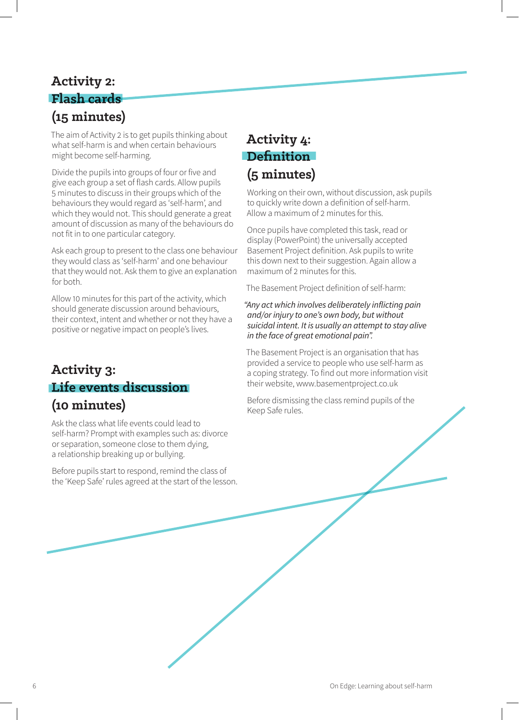## **Activity 2: Flash cards (15 minutes)**

The aim of Activity 2 is to get pupils thinking about what self-harm is and when certain behaviours might become self-harming.

Divide the pupils into groups of four or five and give each group a set of flash cards. Allow pupils 5 minutes to discuss in their groups which of the behaviours they would regard as 'self-harm', and which they would not. This should generate a great amount of discussion as many of the behaviours do not fit in to one particular category.

Ask each group to present to the class one behaviour they would class as 'self-harm' and one behaviour that they would not. Ask them to give an explanation for both.

Allow 10 minutes for this part of the activity, which should generate discussion around behaviours, their context, intent and whether or not they have a positive or negative impact on people's lives.

## **Activity 3: Life events discussion (10 minutes)**

Ask the class what life events could lead to self-harm? Prompt with examples such as: divorce or separation, someone close to them dying, a relationship breaking up or bullying.

Before pupils start to respond, remind the class of the 'Keep Safe' rules agreed at the start of the lesson.

## **Activity 4: Definition (5 minutes)**

Working on their own, without discussion, ask pupils to quickly write down a definition of self-harm. Allow a maximum of 2 minutes for this.

Once pupils have completed this task, read or display (PowerPoint) the universally accepted Basement Project definition. Ask pupils to write this down next to their suggestion. Again allow a maximum of 2 minutes for this.

The Basement Project definition of self-harm:

*"Any act which involves deliberately inflicting pain and/or injury to one's own body, but without suicidal intent. It is usually an attempt to stay alive in the face of great emotional pain".*

The Basement Project is an organisation that has provided a service to people who use self-harm as a coping strategy. To find out more information visit their website, www.basementproject.co.uk

Before dismissing the class remind pupils of the Keep Safe rules.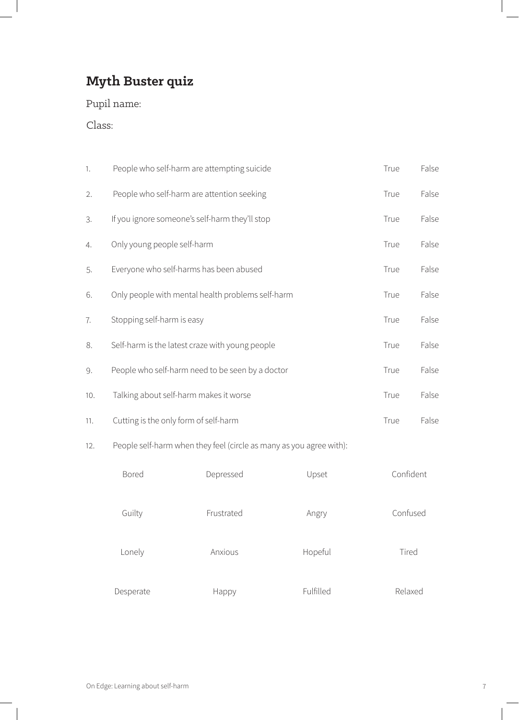# **Myth Buster quiz**

Pupil name:

Class:

| 1.  | People who self-harm are attempting suicide                         | True | False |
|-----|---------------------------------------------------------------------|------|-------|
| 2.  | People who self-harm are attention seeking                          | True | False |
| 3.  | If you ignore someone's self-harm they'll stop                      | True | False |
| 4.  | Only young people self-harm                                         | True | False |
| 5.  | Everyone who self-harms has been abused                             | True | False |
| 6.  | Only people with mental health problems self-harm                   | True | False |
| 7.  | Stopping self-harm is easy                                          | True | False |
| 8.  | Self-harm is the latest craze with young people                     | True | False |
| 9.  | People who self-harm need to be seen by a doctor                    | True | False |
| 10. | Talking about self-harm makes it worse                              | True | False |
| 11. | Cutting is the only form of self-harm                               | True | False |
| 12. | People self-harm when they feel (circle as many as you agree with): |      |       |
|     |                                                                     |      |       |

| <b>Bored</b> | Depressed  | Upset     | Confident |
|--------------|------------|-----------|-----------|
| Guilty       | Frustrated | Angry     | Confused  |
| Lonely       | Anxious    | Hopeful   | Tired     |
| Desperate    | Happy      | Fulfilled | Relaxed   |